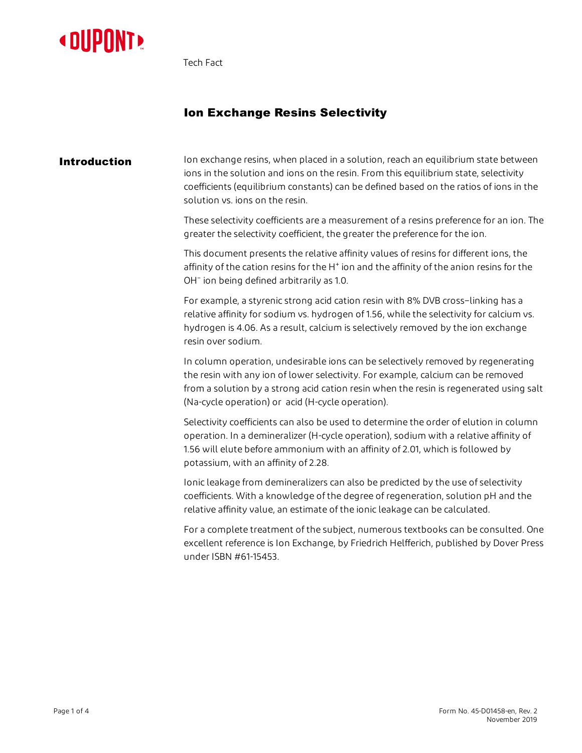

Tech Fact

# Ion Exchange Resins Selectivity

**Introduction** Ion exchange resins, when placed in a solution, reach an equilibrium state between ions in the solution and ions on the resin. From this equilibrium state, selectivity coefficients (equilibrium constants) can be defined based on the ratios of ions in the solution vs. ions on the resin.

> These selectivity coefficients are a measurement of a resins preference for an ion. The greater the selectivity coefficient, the greater the preference for the ion.

This document presents the relative affinity values of resins for different ions, the affinity of the cation resins for the H<sup>+</sup> ion and the affinity of the anion resins for the OH<sup>-</sup> ion being defined arbitrarily as 1.0.

For example, a styrenic strong acid cation resin with 8% DVB cross–linking has a relative affinity for sodium vs. hydrogen of 1.56, while the selectivity for calcium vs. hydrogen is 4.06. As a result, calcium is selectively removed by the ion exchange resin over sodium.

In column operation, undesirable ions can be selectively removed by regenerating the resin with any ion of lower selectivity. For example, calcium can be removed from a solution by a strong acid cation resin when the resin is regenerated using salt (Na-cycle operation) or acid (H-cycle operation).

Selectivity coefficients can also be used to determine the order of elution in column operation. In a demineralizer (H-cycle operation), sodium with a relative affinity of 1.56 will elute before ammonium with an affinity of 2.01, which is followed by potassium, with an affinity of 2.28.

Ionic leakage from demineralizers can also be predicted by the use of selectivity coefficients. With a knowledge of the degree of regeneration, solution pH and the relative affinity value, an estimate of the ionic leakage can be calculated.

For a complete treatment of the subject, numerous textbooks can be consulted. One excellent reference is Ion Exchange, by Friedrich Helfferich, published by Dover Press under ISBN #61-15453.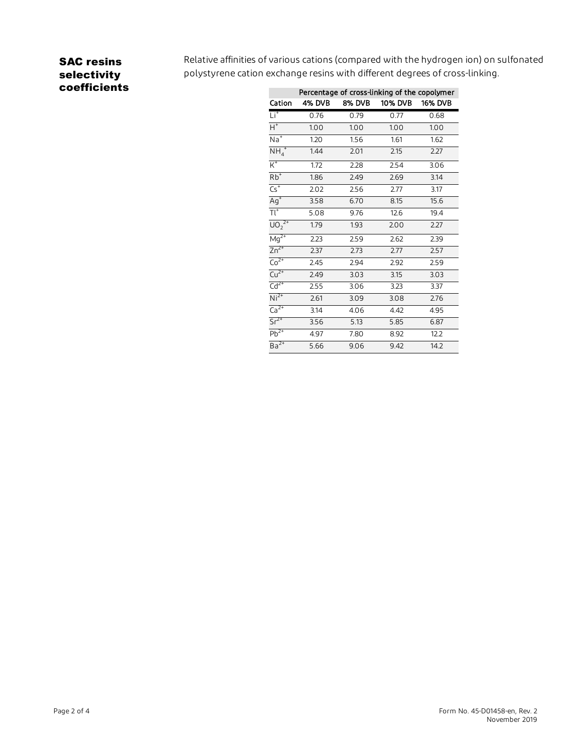## SAC resins selectivity coefficients

Relative affinities of various cations (compared with the hydrogen ion) on sulfonated polystyrene cation exchange resins with different degrees of cross-linking.

|                          | Percentage of cross-linking of the copolymer |               |         |                |  |
|--------------------------|----------------------------------------------|---------------|---------|----------------|--|
| Cation                   | 4% DVB                                       | <b>8% DVB</b> | 10% DVB | <b>16% DVB</b> |  |
| $Li+$                    | 0.76                                         | 0.79          | 0.77    | 0.68           |  |
| $H^+$                    | 1.00                                         | 1.00          | 1.00    | 1.00           |  |
| $\overline{Na}^+$        | 1.20                                         | 1.56          | 1.61    | 1.62           |  |
| $NH_4^+$                 | 1.44                                         | 2.01          | 2.15    | 2.27           |  |
| $K^+$                    | 1.72                                         | 2.28          | 2.54    | 3.06           |  |
| $Rb$ <sup>+</sup>        | 1.86                                         | 2.49          | 2.69    | 3.14           |  |
| $\overline{\text{Cs}^+}$ | 2.02                                         | 2.56          | 2.77    | 3.17           |  |
| $Ag+$                    | 3.58                                         | 6.70          | 8.15    | 15.6           |  |
| $\overline{\text{TI}^+}$ | 5.08                                         | 9.76          | 12.6    | 19.4           |  |
| $U_0^{2^+}$              | 1.79                                         | 1.93          | 2.00    | 2.27           |  |
| $Mg^{2+}$                | 2.23                                         | 2.59          | 2.62    | 2.39           |  |
| $Zn^{2+}$                | 2.37                                         | 2.73          | 2.77    | 2.57           |  |
| $Co2+$                   | 2.45                                         | 2.94          | 2.92    | 2.59           |  |
| $Cu2+$                   | 2.49                                         | 3.03          | 3.15    | 3.03           |  |
| $\overline{Cd^{2+}}$     | 2.55                                         | 3.06          | 3.23    | 3.37           |  |
| $Ni2+$                   | 2.61                                         | 3.09          | 3.08    | 2.76           |  |
| $Ca2+$                   | 3.14                                         | 4.06          | 4.42    | 4.95           |  |
| $Sr2+$                   | 3.56                                         | 5.13          | 5.85    | 6.87           |  |
| $Pb^{2+}$                | 4.97                                         | 7.80          | 8.92    | 12.2           |  |
| $Ba^{2+}$                | 5.66                                         | 9.06          | 9.42    | 14.2           |  |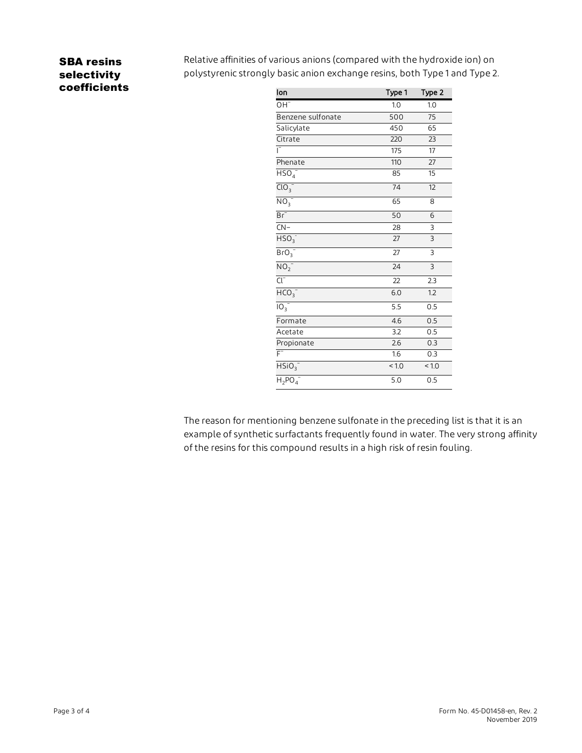### SBA resins selectivity coefficients

Relative affinities of various anions (compared with the hydroxide ion) on polystyrenic strongly basic anion exchange resins, both Type 1 and Type 2.

| lon                        | Type 1          | Type 2           |
|----------------------------|-----------------|------------------|
| OH <sup>-</sup>            | 1.0             | 1.0              |
| Benzene sulfonate          | 500             | $\overline{75}$  |
| Salicylate                 | 450             | 65               |
| Citrate                    | 220             | 23               |
|                            | 175             | $\overline{17}$  |
| Phenate                    | 110             | 27               |
| HSO <sub>4</sub>           | 85              | 15               |
| ClO <sub>3</sub>           | 74              | 12               |
| $\overline{NO_3}^-$        | 65              | 8                |
| $Br^-$                     | 50              | 6                |
| $CN-$                      | 28              | 3                |
| HSO <sub>3</sub>           | 27              | $\overline{3}$   |
| $BrO_3$                    | 27              | 3                |
| NO <sub>2</sub>            | $\overline{24}$ | $\overline{3}$   |
| $\overline{\text{Cl}^{-}}$ | $\overline{22}$ | $\overline{2.3}$ |
| HCO <sub>3</sub>           | 6.0             | 1.2              |
| $10^{-7}$                  | 5.5             | 0.5              |
| Formate                    | 4.6             | 0.5              |
| Acetate                    | 3.2             | 0.5              |
| Propionate                 | 2.6             | 0.3              |
| $\overline{\mathsf{F}}$    | 1.6             | 0.3              |
| HSiO <sub>3</sub>          | < 1.0           | < 1.0            |
| $H_2PO_4^-$                | 5.0             | 0.5              |

The reason for mentioning benzene sulfonate in the preceding list is that it is an example of synthetic surfactants frequently found in water. The very strong affinity of the resins for this compound results in a high risk of resin fouling.